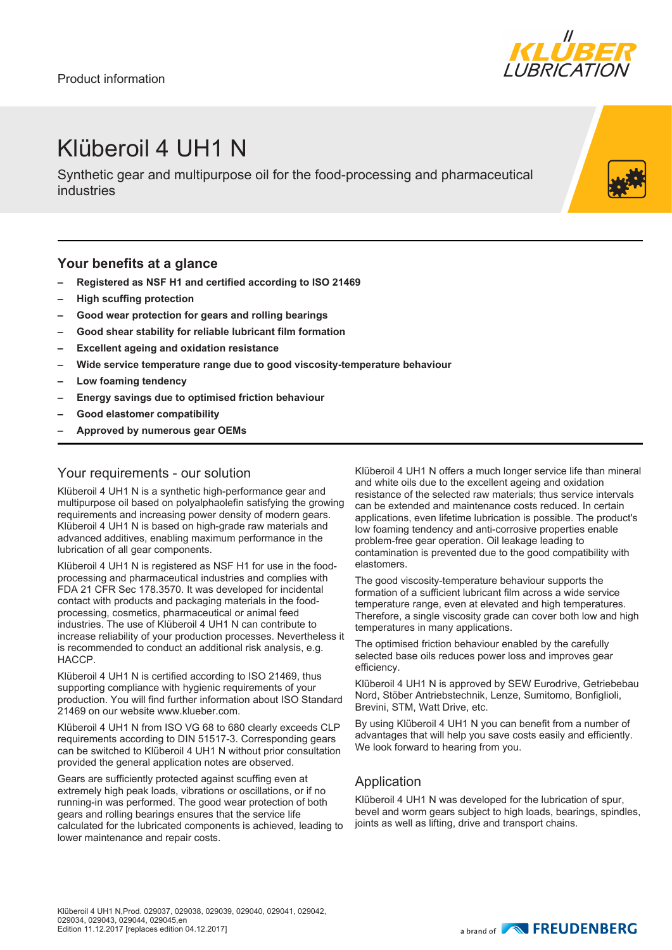

## Klüberoil 4 UH1 N

Synthetic gear and multipurpose oil for the food-processing and pharmaceutical industries



- **– Registered as NSF H1 and certified according to ISO 21469**
- **– High scuffing protection**
- **– Good wear protection for gears and rolling bearings**
- **– Good shear stability for reliable lubricant film formation**
- **– Excellent ageing and oxidation resistance**
- **– Wide service temperature range due to good viscosity-temperature behaviour**
- **– Low foaming tendency**
- **– Energy savings due to optimised friction behaviour**
- **– Good elastomer compatibility**
- **– Approved by numerous gear OEMs**

#### Your requirements - our solution

Klüberoil 4 UH1 N is a synthetic high-performance gear and multipurpose oil based on polyalphaolefin satisfying the growing requirements and increasing power density of modern gears. Klüberoil 4 UH1 N is based on high-grade raw materials and advanced additives, enabling maximum performance in the lubrication of all gear components.

Klüberoil 4 UH1 N is registered as NSF H1 for use in the foodprocessing and pharmaceutical industries and complies with FDA 21 CFR Sec 178.3570. It was developed for incidental contact with products and packaging materials in the foodprocessing, cosmetics, pharmaceutical or animal feed industries. The use of Klüberoil 4 UH1 N can contribute to increase reliability of your production processes. Nevertheless it is recommended to conduct an additional risk analysis, e.g. HACCP.

Klüberoil 4 UH1 N is certified according to ISO 21469, thus supporting compliance with hygienic requirements of your production. You will find further information about ISO Standard 21469 on our website www.klueber.com.

Klüberoil 4 UH1 N from ISO VG 68 to 680 clearly exceeds CLP requirements according to DIN 51517-3. Corresponding gears can be switched to Klüberoil 4 UH1 N without prior consultation provided the general application notes are observed.

Gears are sufficiently protected against scuffing even at extremely high peak loads, vibrations or oscillations, or if no running-in was performed. The good wear protection of both gears and rolling bearings ensures that the service life calculated for the lubricated components is achieved, leading to lower maintenance and repair costs.

Klüberoil 4 UH1 N offers a much longer service life than mineral and white oils due to the excellent ageing and oxidation resistance of the selected raw materials; thus service intervals can be extended and maintenance costs reduced. In certain applications, even lifetime lubrication is possible. The product's low foaming tendency and anti-corrosive properties enable problem-free gear operation. Oil leakage leading to contamination is prevented due to the good compatibility with elastomers.

The good viscosity-temperature behaviour supports the formation of a sufficient lubricant film across a wide service temperature range, even at elevated and high temperatures. Therefore, a single viscosity grade can cover both low and high temperatures in many applications.

The optimised friction behaviour enabled by the carefully selected base oils reduces power loss and improves gear efficiency.

Klüberoil 4 UH1 N is approved by SEW Eurodrive, Getriebebau Nord, Stöber Antriebstechnik, Lenze, Sumitomo, Bonfiglioli, Brevini, STM, Watt Drive, etc.

By using Klüberoil 4 UH1 N you can benefit from a number of advantages that will help you save costs easily and efficiently. We look forward to hearing from you.

#### Application

Klüberoil 4 UH1 N was developed for the lubrication of spur, bevel and worm gears subject to high loads, bearings, spindles, joints as well as lifting, drive and transport chains.

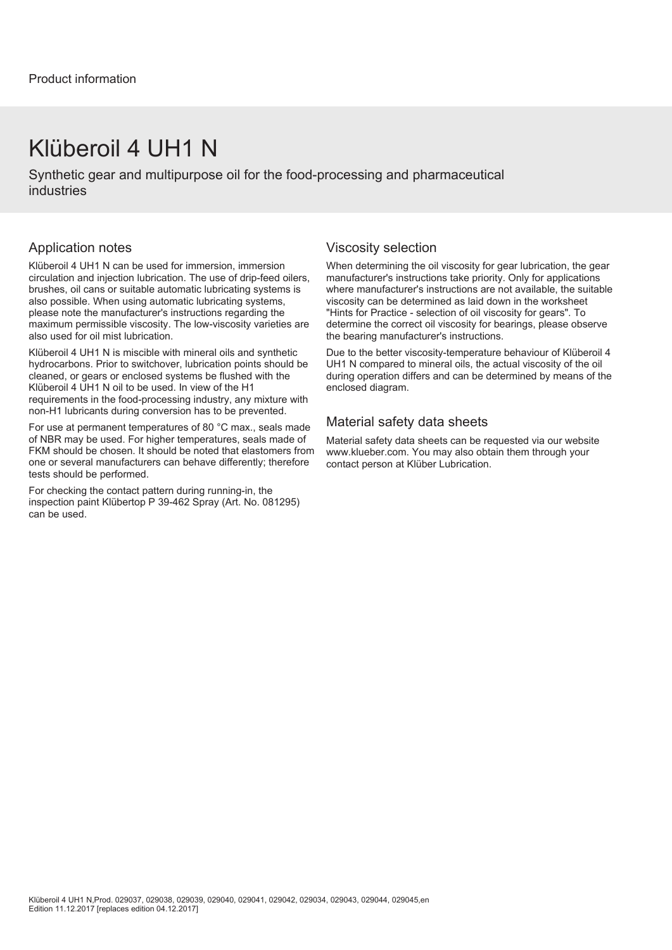### Klüberoil 4 UH1 N

Synthetic gear and multipurpose oil for the food-processing and pharmaceutical industries

#### Application notes

Klüberoil 4 UH1 N can be used for immersion, immersion circulation and injection lubrication. The use of drip-feed oilers, brushes, oil cans or suitable automatic lubricating systems is also possible. When using automatic lubricating systems, please note the manufacturer's instructions regarding the maximum permissible viscosity. The low-viscosity varieties are also used for oil mist lubrication.

Klüberoil 4 UH1 N is miscible with mineral oils and synthetic hydrocarbons. Prior to switchover, lubrication points should be cleaned, or gears or enclosed systems be flushed with the Klüberoil 4 UH1 N oil to be used. In view of the H1 requirements in the food-processing industry, any mixture with non-H1 lubricants during conversion has to be prevented.

For use at permanent temperatures of 80 °C max., seals made of NBR may be used. For higher temperatures, seals made of FKM should be chosen. It should be noted that elastomers from one or several manufacturers can behave differently; therefore tests should be performed.

For checking the contact pattern during running-in, the inspection paint Klübertop P 39-462 Spray (Art. No. 081295) can be used.

#### Viscosity selection

When determining the oil viscosity for gear lubrication, the gear manufacturer's instructions take priority. Only for applications where manufacturer's instructions are not available, the suitable viscosity can be determined as laid down in the worksheet "Hints for Practice - selection of oil viscosity for gears". To determine the correct oil viscosity for bearings, please observe the bearing manufacturer's instructions.

Due to the better viscosity-temperature behaviour of Klüberoil 4 UH1 N compared to mineral oils, the actual viscosity of the oil during operation differs and can be determined by means of the enclosed diagram.

#### Material safety data sheets

Material safety data sheets can be requested via our website www.klueber.com. You may also obtain them through your contact person at Klüber Lubrication.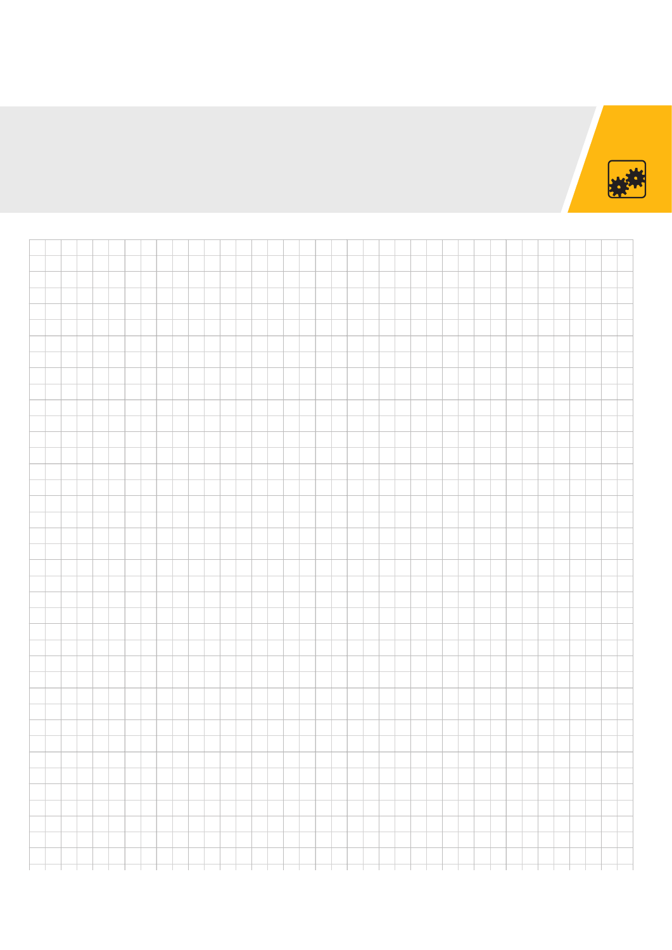

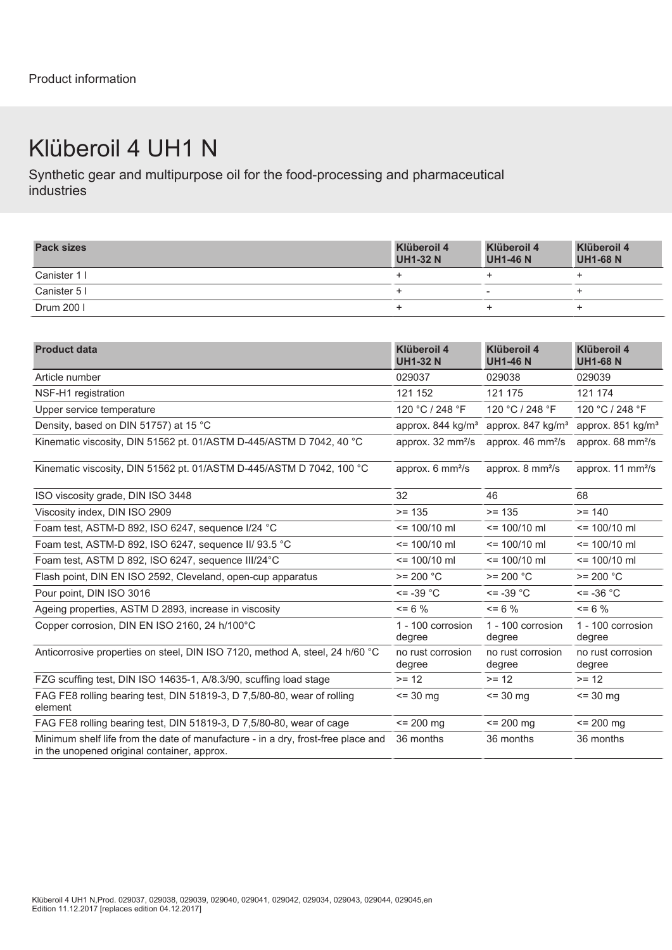## Klüberoil 4 UH1 N

Synthetic gear and multipurpose oil for the food-processing and pharmaceutical industries

| <b>Pack sizes</b> | <b>Klüberoil 4</b><br><b>UH1-32 N</b> | <b>Klüberoil 4</b><br><b>UH1-46 N</b> | Klüberoil 4<br><b>UH1-68 N</b> |
|-------------------|---------------------------------------|---------------------------------------|--------------------------------|
| Canister 1 I      |                                       |                                       |                                |
| Canister 5 I      |                                       | $\overline{\phantom{a}}$              |                                |
| Drum 200 l        |                                       |                                       |                                |

| Klüberoil 4<br><b>UH1-32 N</b> | Klüberoil 4<br><b>UH1-46 N</b> | Klüberoil 4<br><b>UH1-68 N</b>                                 |
|--------------------------------|--------------------------------|----------------------------------------------------------------|
| 029037                         | 029038                         | 029039                                                         |
| 121 152                        | 121 175                        | 121 174                                                        |
| 120 °C / 248 °F                | 120 °C / 248 °F                | 120 °C / 248 °F                                                |
| approx. 844 kg/m <sup>3</sup>  |                                | approx. 851 kg/m <sup>3</sup>                                  |
| approx. 32 mm <sup>2</sup> /s  |                                | approx. 68 mm <sup>2</sup> /s                                  |
| approx. 6 mm <sup>2</sup> /s   | approx. 8 mm <sup>2</sup> /s   | approx. 11 mm <sup>2</sup> /s                                  |
| 32                             | 46                             | 68                                                             |
| $>= 135$                       | $>= 135$                       | $>= 140$                                                       |
| $\le$ 100/10 ml                | $\le$ 100/10 ml                | $= 100/10$ ml                                                  |
| $\le$ 100/10 ml                | $\le$ 100/10 ml                | $= 100/10$ ml                                                  |
| $\le$ 100/10 ml                | $\le$ 100/10 ml                | $= 100/10$ ml                                                  |
| $>= 200 °C$                    | $>= 200 °C$                    | $>= 200 °C$                                                    |
| $\le$ = -39 °C                 | $\le$ = -39 °C                 | $\le$ = -36 $^{\circ}$ C                                       |
| $\leq$ 6 %                     | $\leq$ 6 %                     | $= 6 \%$                                                       |
| 1 - 100 corrosion<br>degree    | 1 - 100 corrosion<br>degree    | 1 - 100 corrosion<br>degree                                    |
| no rust corrosion<br>degree    | no rust corrosion<br>degree    | no rust corrosion<br>degree                                    |
| $>= 12$                        | $>= 12$                        | $>= 12$                                                        |
| $= 30$ mg                      | $\le$ 30 mg                    | $= 30$ mg                                                      |
| $\le$ 200 mg                   | $\le$ 200 mg                   | $= 200$ mg                                                     |
| 36 months                      | 36 months                      | 36 months                                                      |
|                                |                                | approx. 847 kg/m <sup>3</sup><br>approx. 46 mm <sup>2</sup> /s |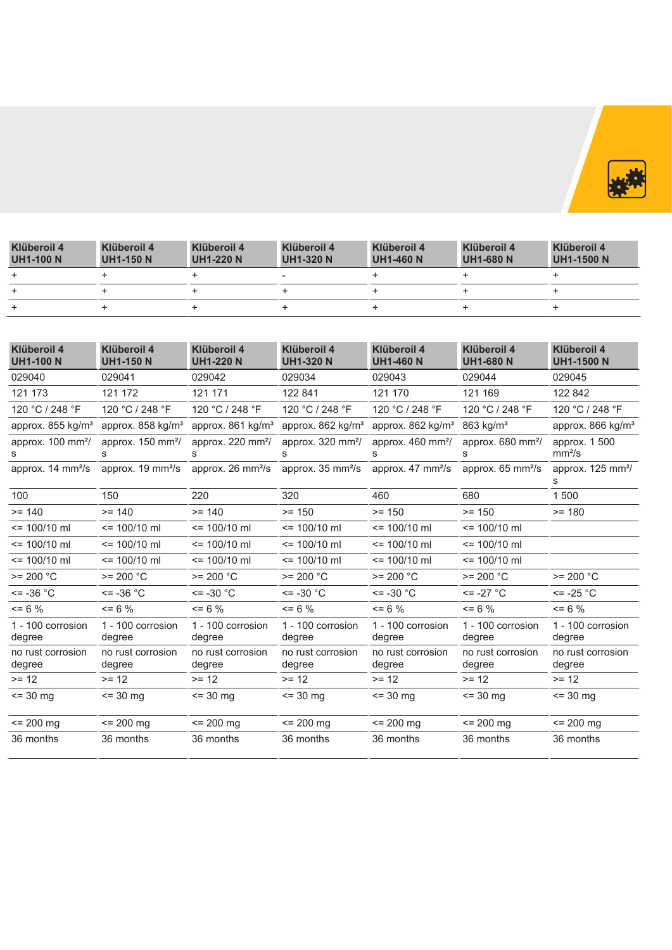

| <b>Klüberoil 4</b><br><b>UH1-100 N</b> | <b>Klüberoil 4</b><br><b>UH1-150 N</b> | <b>Klüberoil 4</b><br><b>UH1-220 N</b> | Klüberoil 4<br><b>UH1-320 N</b> | <b>Klüberoil 4</b><br><b>UH1-460 N</b> | <b>Klüberoil 4</b><br><b>UH1-680 N</b> | <b>Klüberoil 4</b><br><b>UH1-1500 N</b> |
|----------------------------------------|----------------------------------------|----------------------------------------|---------------------------------|----------------------------------------|----------------------------------------|-----------------------------------------|
|                                        |                                        |                                        |                                 |                                        |                                        |                                         |
|                                        |                                        |                                        |                                 |                                        |                                        |                                         |
|                                        |                                        |                                        |                                 |                                        |                                        |                                         |

| <b>Klüberoil 4</b><br><b>UH1-100 N</b> | <b>Klüberoil 4</b><br><b>UH1-150 N</b>                                | Klüberoil 4<br><b>UH1-220 N</b> | <b>Klüberoil 4</b><br><b>UH1-320 N</b>                      | <b>Klüberoil 4</b><br><b>UH1-460 N</b> | <b>Klüberoil 4</b><br><b>UH1-680 N</b> | <b>Klüberoil 4</b><br><b>UH1-1500 N</b> |
|----------------------------------------|-----------------------------------------------------------------------|---------------------------------|-------------------------------------------------------------|----------------------------------------|----------------------------------------|-----------------------------------------|
| 029040                                 | 029041                                                                | 029042                          | 029034                                                      | 029043                                 | 029044                                 | 029045                                  |
| 121 173                                | 121 172                                                               | 121 171                         | 122 841                                                     | 121 170                                | 121 169                                | 122 842                                 |
| 120 °C / 248 °F                        | 120 °C / 248 °F                                                       | 120 °C / 248 °F                 | 120 °C / 248 °F                                             | 120 °C / 248 °F                        | 120 °C / 248 °F                        | 120 °C / 248 °F                         |
| approx. 855 kg/m <sup>3</sup>          | approx. 858 kg/m <sup>3</sup>                                         | approx. 861 kg/m <sup>3</sup>   | approx. 862 kg/m <sup>3</sup>                               | approx. 862 kg/m <sup>3</sup>          | 863 kg/m <sup>3</sup>                  | approx. 866 kg/m <sup>3</sup>           |
| approx. 100 mm <sup>2</sup> /<br>s     | approx. 150 mm <sup>2</sup> /                                         | approx. 220 mm <sup>2</sup> /   | approx. $320 \text{ mm}^2$                                  | approx. $460 \text{ mm}^2$             | approx. 680 mm <sup>2</sup> /<br>S.    | approx. 1 500<br>mm <sup>2</sup> /s     |
|                                        | approx. $14 \text{ mm}^2/\text{s}$ approx. $19 \text{ mm}^2/\text{s}$ | approx. 26 mm <sup>2</sup> /s   | approx. 35 mm <sup>2</sup> /s approx. 47 mm <sup>2</sup> /s |                                        | approx. 65 mm <sup>2</sup> /s          | approx. 125 mm <sup>2</sup> /           |
| 100                                    | 150                                                                   | 220                             | 320                                                         | 460                                    | 680                                    | 1500                                    |
| $>= 140$                               | $>= 140$                                                              | $>= 140$                        | $>= 150$                                                    | $>= 150$                               | $>= 150$                               | $>= 180$                                |
| $= 100/10$ ml                          | $\le$ 100/10 ml                                                       | $= 100/10$ ml                   | $= 100/10$ ml                                               | $= 100/10$ ml                          | $= 100/10$ ml                          |                                         |
| $= 100/10$ ml                          | $\le$ 100/10 ml                                                       | $\le$ 100/10 ml                 | $= 100/10$ ml                                               | $= 100/10$ ml                          | $\le$ 100/10 ml                        |                                         |
| $= 100/10$ ml                          | $\le$ 100/10 ml                                                       | $\le$ 100/10 ml                 | $= 100/10$ ml                                               | $= 100/10$ ml                          | $\le$ 100/10 ml                        |                                         |
| $>= 200 °C$                            | $>= 200 °C$                                                           | $>= 200 °C$                     | $>= 200 °C$                                                 | $>= 200 °C$                            | $>= 200 °C$                            | $>= 200 °C$                             |
| $\le$ = -36 $^{\circ}$ C               | $\le$ = -36 °C                                                        | $\le$ = -30 $^{\circ}$ C        | $\le$ = -30 $^{\circ}$ C                                    | $\le$ = -30 $^{\circ}$ C               | $\le$ = -27 $^{\circ}$ C               | $\le$ -25 °C                            |
| $= 6 \%$                               | $\leq$ 6 %                                                            | $= 6 \%$                        | $= 6 \%$                                                    | $= 6 \%$                               | $\leq$ 6 %                             | $= 6 \%$                                |
| 1 - 100 corrosion<br>degree            | 1 - 100 corrosion<br>degree                                           | 1 - 100 corrosion<br>degree     | 1 - 100 corrosion<br>degree                                 | 1 - 100 corrosion<br>degree            | 1 - 100 corrosion<br>degree            | 1 - 100 corrosion<br>degree             |
| no rust corrosion<br>degree            | no rust corrosion<br>degree                                           | no rust corrosion<br>degree     | no rust corrosion<br>degree                                 | no rust corrosion<br>degree            | no rust corrosion<br>degree            | no rust corrosion<br>degree             |
| $>= 12$                                | $>= 12$                                                               | $>= 12$                         | $>= 12$                                                     | $>= 12$                                | $>= 12$                                | $>= 12$                                 |
| $\le$ 30 mg                            | $\le$ 30 mg                                                           | $\le$ 30 mg                     | $\le$ 30 mg                                                 | $= 30$ mg                              | $\le$ 30 mg                            | $\le$ 30 mg                             |
| $= 200 \, \text{mg}$                   | $= 200$ mg                                                            | $\le$ 200 mg                    | $= 200$ mg                                                  | $\le$ 200 mg                           | $\le$ 200 mg                           | $= 200$ mg                              |
| 36 months                              | 36 months                                                             | 36 months                       | 36 months                                                   | 36 months                              | 36 months                              | 36 months                               |